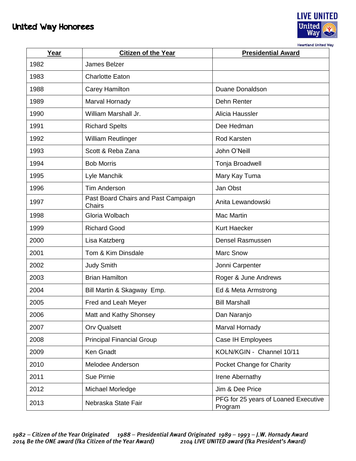## United Way Honorees



**Heartland United Way** 

| Year | <b>Citizen of the Year</b>                    | <b>Presidential Award</b>                       |
|------|-----------------------------------------------|-------------------------------------------------|
| 1982 | James Belzer                                  |                                                 |
| 1983 | <b>Charlotte Eaton</b>                        |                                                 |
| 1988 | <b>Carey Hamilton</b>                         | <b>Duane Donaldson</b>                          |
| 1989 | Marval Hornady                                | Dehn Renter                                     |
| 1990 | William Marshall Jr.                          | Alicia Haussler                                 |
| 1991 | <b>Richard Spelts</b>                         | Dee Hedman                                      |
| 1992 | <b>William Reutlinger</b>                     | <b>Rod Karsten</b>                              |
| 1993 | Scott & Reba Zana                             | John O'Neill                                    |
| 1994 | <b>Bob Morris</b>                             | Tonja Broadwell                                 |
| 1995 | Lyle Manchik                                  | Mary Kay Tuma                                   |
| 1996 | <b>Tim Anderson</b>                           | Jan Obst                                        |
| 1997 | Past Board Chairs and Past Campaign<br>Chairs | Anita Lewandowski                               |
| 1998 | Gloria Wolbach                                | <b>Mac Martin</b>                               |
| 1999 | <b>Richard Good</b>                           | <b>Kurt Haecker</b>                             |
| 2000 | Lisa Katzberg                                 | <b>Densel Rasmussen</b>                         |
| 2001 | Tom & Kim Dinsdale                            | <b>Marc Snow</b>                                |
| 2002 | <b>Judy Smith</b>                             | Jonni Carpenter                                 |
| 2003 | <b>Brian Hamilton</b>                         | Roger & June Andrews                            |
| 2004 | Bill Martin & Skagway Emp.                    | Ed & Meta Armstrong                             |
| 2005 | Fred and Leah Meyer                           | <b>Bill Marshall</b>                            |
| 2006 | Matt and Kathy Shonsey                        | Dan Naranjo                                     |
| 2007 | <b>Orv Qualsett</b>                           | Marval Hornady                                  |
| 2008 | <b>Principal Financial Group</b>              | Case IH Employees                               |
| 2009 | Ken Gnadt                                     | KOLN/KGIN - Channel 10/11                       |
| 2010 | Melodee Anderson                              | Pocket Change for Charity                       |
| 2011 | Sue Pirnie                                    | Irene Abernathy                                 |
| 2012 | Michael Morledge                              | Jim & Dee Price                                 |
| 2013 | Nebraska State Fair                           | PFG for 25 years of Loaned Executive<br>Program |